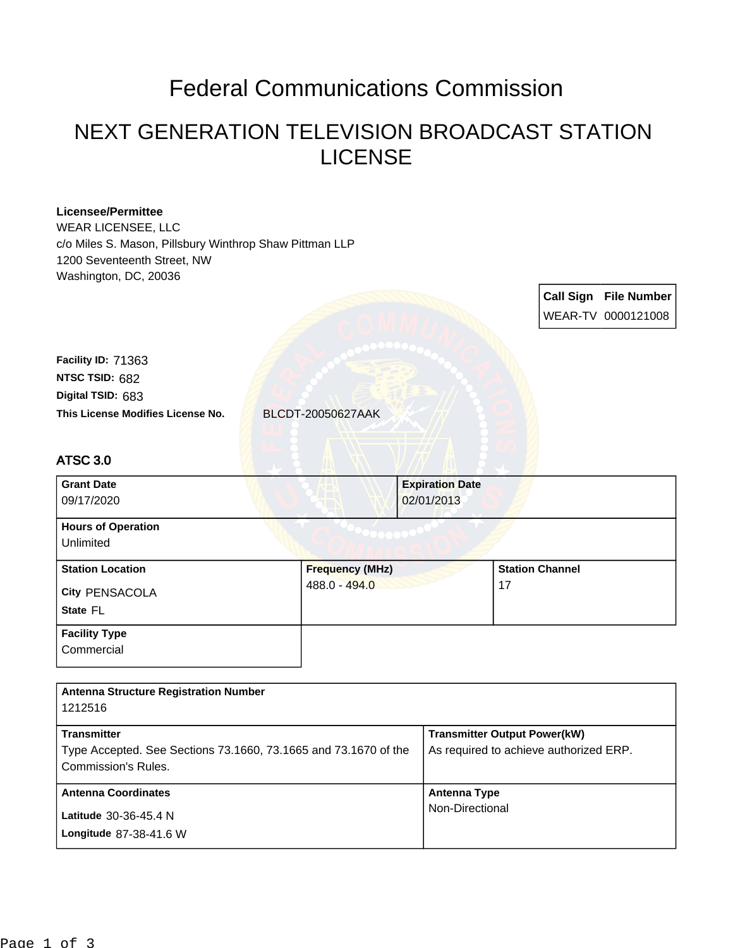## Federal Communications Commission

## NEXT GENERATION TELEVISION BROADCAST STATION LICENSE

| <b>Licensee/Permittee</b><br><b>WEAR LICENSEE, LLC</b><br>c/o Miles S. Mason, Pillsbury Winthrop Shaw Pittman LLP<br>1200 Seventeenth Street, NW<br>Washington, DC, 20036 |                        |                        |                                        |  |                       |
|---------------------------------------------------------------------------------------------------------------------------------------------------------------------------|------------------------|------------------------|----------------------------------------|--|-----------------------|
|                                                                                                                                                                           |                        |                        |                                        |  | Call Sign File Number |
|                                                                                                                                                                           |                        |                        |                                        |  | WEAR-TV 0000121008    |
|                                                                                                                                                                           |                        |                        |                                        |  |                       |
| Facility ID: 71363                                                                                                                                                        |                        |                        |                                        |  |                       |
| NTSC TSID: 682                                                                                                                                                            |                        |                        |                                        |  |                       |
| Digital TSID: 683                                                                                                                                                         |                        |                        |                                        |  |                       |
| This License Modifies License No.                                                                                                                                         | BLCDT-20050627AAK      |                        |                                        |  |                       |
|                                                                                                                                                                           |                        |                        |                                        |  |                       |
| <b>ATSC 3.0</b>                                                                                                                                                           |                        |                        |                                        |  |                       |
| <b>Grant Date</b>                                                                                                                                                         |                        | <b>Expiration Date</b> |                                        |  |                       |
| 09/17/2020                                                                                                                                                                |                        | 02/01/2013             |                                        |  |                       |
| <b>Hours of Operation</b><br>Unlimited                                                                                                                                    |                        |                        |                                        |  |                       |
| <b>Station Location</b>                                                                                                                                                   | <b>Frequency (MHz)</b> |                        | <b>Station Channel</b><br>17           |  |                       |
| City PENSACOLA                                                                                                                                                            | 488.0 - 494.0          |                        |                                        |  |                       |
| State FL                                                                                                                                                                  |                        |                        |                                        |  |                       |
| <b>Facility Type</b>                                                                                                                                                      |                        |                        |                                        |  |                       |
| Commercial                                                                                                                                                                |                        |                        |                                        |  |                       |
|                                                                                                                                                                           |                        |                        |                                        |  |                       |
| <b>Antenna Structure Registration Number</b><br>1212516                                                                                                                   |                        |                        |                                        |  |                       |
| <b>Transmitter</b>                                                                                                                                                        |                        |                        | <b>Transmitter Output Power(kW)</b>    |  |                       |
| Type Accepted. See Sections 73.1660, 73.1665 and 73.1670 of the                                                                                                           |                        |                        | As required to achieve authorized ERP. |  |                       |
| Commission's Rules.                                                                                                                                                       |                        |                        |                                        |  |                       |
| <b>Antenna Coordinates</b>                                                                                                                                                |                        |                        | <b>Antenna Type</b>                    |  |                       |
| Latitude 30-36-45.4 N                                                                                                                                                     |                        | Non-Directional        |                                        |  |                       |
| Longitude 87-38-41.6 W                                                                                                                                                    |                        |                        |                                        |  |                       |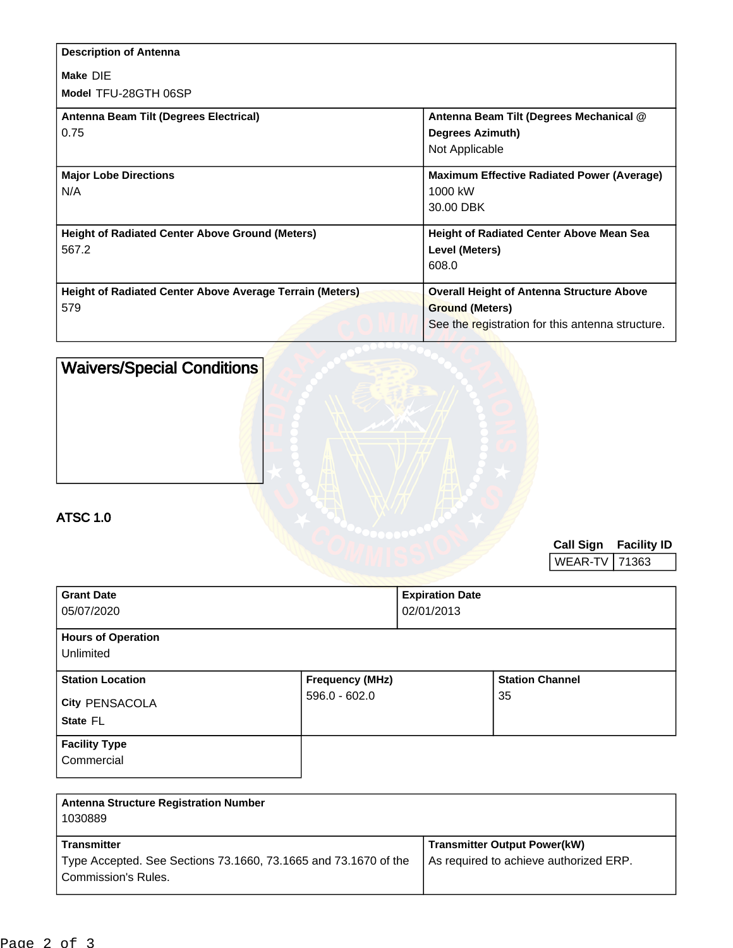| <b>Description of Antenna</b>                                   |                                                   |
|-----------------------------------------------------------------|---------------------------------------------------|
| Make DIE                                                        |                                                   |
| Model TFU-28GTH 06SP                                            |                                                   |
| Antenna Beam Tilt (Degrees Electrical)                          | Antenna Beam Tilt (Degrees Mechanical @           |
| 0.75                                                            | <b>Degrees Azimuth)</b>                           |
|                                                                 | Not Applicable                                    |
| <b>Major Lobe Directions</b>                                    | <b>Maximum Effective Radiated Power (Average)</b> |
| N/A                                                             | 1000 kW                                           |
|                                                                 | 30.00 DBK                                         |
| <b>Height of Radiated Center Above Ground (Meters)</b>          | <b>Height of Radiated Center Above Mean Sea</b>   |
| 567.2                                                           | Level (Meters)                                    |
|                                                                 | 608.0                                             |
| <b>Height of Radiated Center Above Average Terrain (Meters)</b> | <b>Overall Height of Antenna Structure Above</b>  |
| 579                                                             | <b>Ground (Meters)</b>                            |
|                                                                 | See the registration for this antenna structure.  |

| <b>Waivers/Special Conditions</b> |  |
|-----------------------------------|--|
|                                   |  |
|                                   |  |
|                                   |  |
|                                   |  |

## ATSC 1.0

**Call Sign Facility ID**

WEAR-TV | 71363

| <b>Grant Date</b>         | <b>Expiration Date</b> |                        |  |  |
|---------------------------|------------------------|------------------------|--|--|
| 05/07/2020                | 02/01/2013             |                        |  |  |
| <b>Hours of Operation</b> |                        |                        |  |  |
| Unlimited                 |                        |                        |  |  |
| <b>Station Location</b>   | <b>Frequency (MHz)</b> | <b>Station Channel</b> |  |  |
| <b>City PENSACOLA</b>     | $596.0 - 602.0$        | 35                     |  |  |
| State FL                  |                        |                        |  |  |
| <b>Facility Type</b>      |                        |                        |  |  |
| Commercial                |                        |                        |  |  |

| <b>Antenna Structure Registration Number</b><br>1030889                                |                                        |
|----------------------------------------------------------------------------------------|----------------------------------------|
| <b>Transmitter</b>                                                                     | <b>Transmitter Output Power(kW)</b>    |
| Type Accepted. See Sections 73.1660, 73.1665 and 73.1670 of the<br>Commission's Rules. | As required to achieve authorized ERP. |